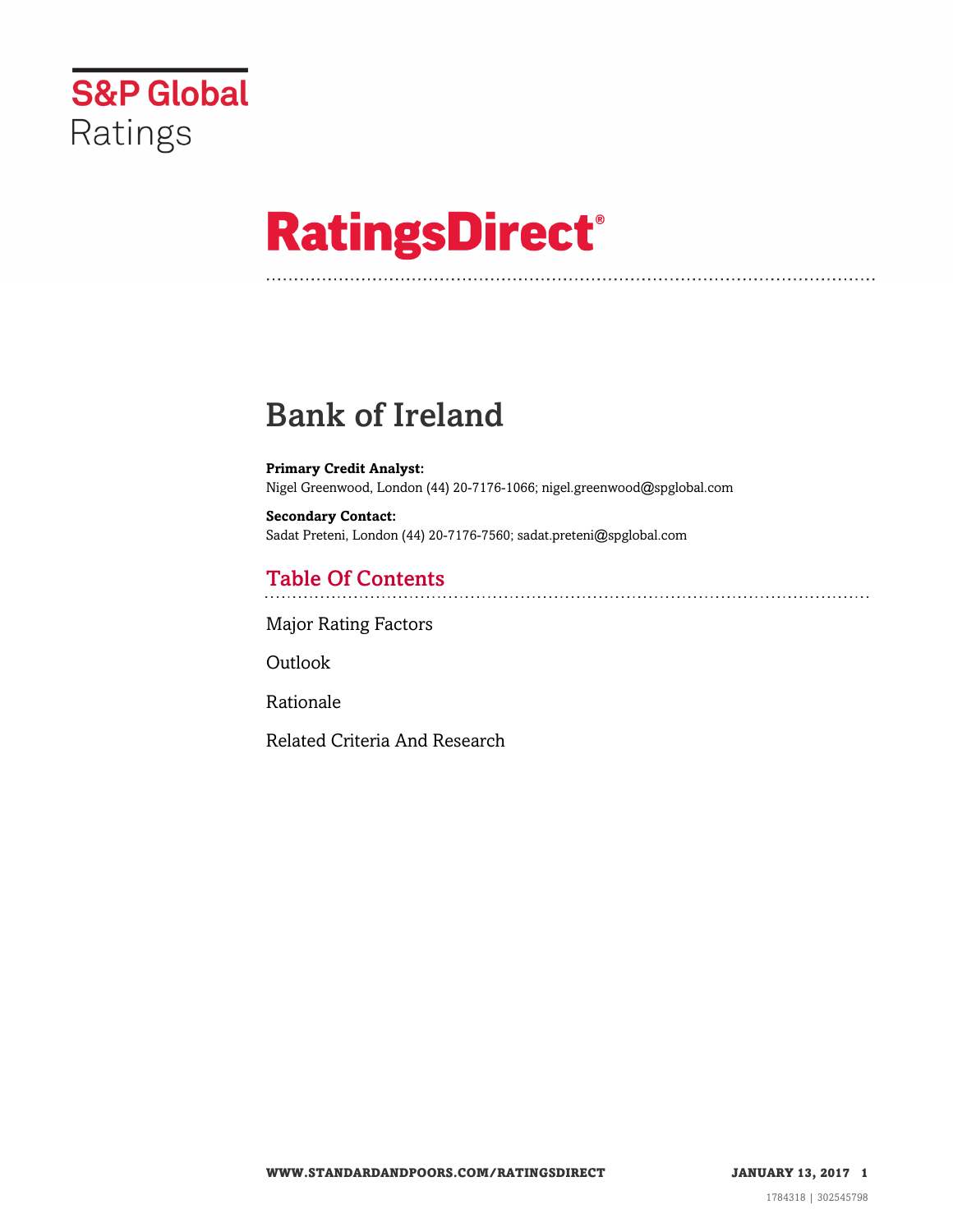

# **RatingsDirect®**

# Bank of Ireland

**Primary Credit Analyst:** Nigel Greenwood, London (44) 20-7176-1066; nigel.greenwood@spglobal.com

**Secondary Contact:** Sadat Preteni, London (44) 20-7176-7560; sadat.preteni@spglobal.com

# Table Of Contents

[Major Rating Factors](#page-1-0)

Outlook

[Rationale](#page-2-0)

[Related Criteria And Research](#page-3-0)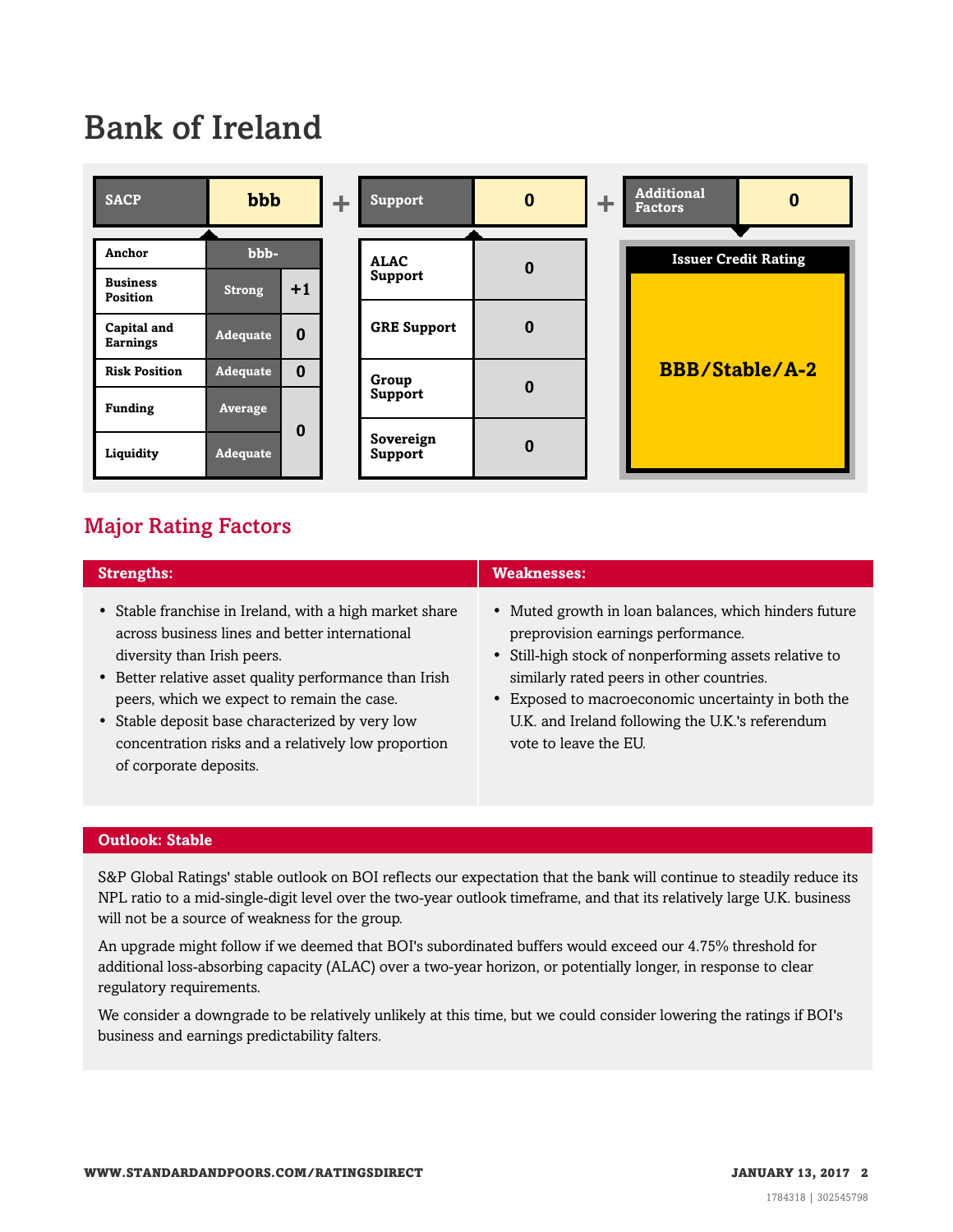# Bank of Ireland



## <span id="page-1-0"></span>Major Rating Factors

| <b>Strengths:</b>                                                                                                                                                                                                                                                                                                                                                                    | <b>Weaknesses:</b>                                                                                                                                                                                                                                                                                                                    |
|--------------------------------------------------------------------------------------------------------------------------------------------------------------------------------------------------------------------------------------------------------------------------------------------------------------------------------------------------------------------------------------|---------------------------------------------------------------------------------------------------------------------------------------------------------------------------------------------------------------------------------------------------------------------------------------------------------------------------------------|
| • Stable franchise in Ireland, with a high market share<br>across business lines and better international<br>diversity than Irish peers.<br>• Better relative asset quality performance than Irish<br>peers, which we expect to remain the case.<br>• Stable deposit base characterized by very low<br>concentration risks and a relatively low proportion<br>of corporate deposits. | • Muted growth in loan balances, which hinders future<br>preprovision earnings performance.<br>• Still-high stock of nonperforming assets relative to<br>similarly rated peers in other countries.<br>• Exposed to macroeconomic uncertainty in both the<br>U.K. and Ireland following the U.K.'s referendum<br>vote to leave the EU. |

### **Outlook: Stable**

S&P Global Ratings' stable outlook on BOI reflects our expectation that the bank will continue to steadily reduce its NPL ratio to a mid-single-digit level over the two-year outlook timeframe, and that its relatively large U.K. business will not be a source of weakness for the group.

An upgrade might follow if we deemed that BOI's subordinated buffers would exceed our 4.75% threshold for additional loss-absorbing capacity (ALAC) over a two-year horizon, or potentially longer, in response to clear regulatory requirements.

We consider a downgrade to be relatively unlikely at this time, but we could consider lowering the ratings if BOI's business and earnings predictability falters.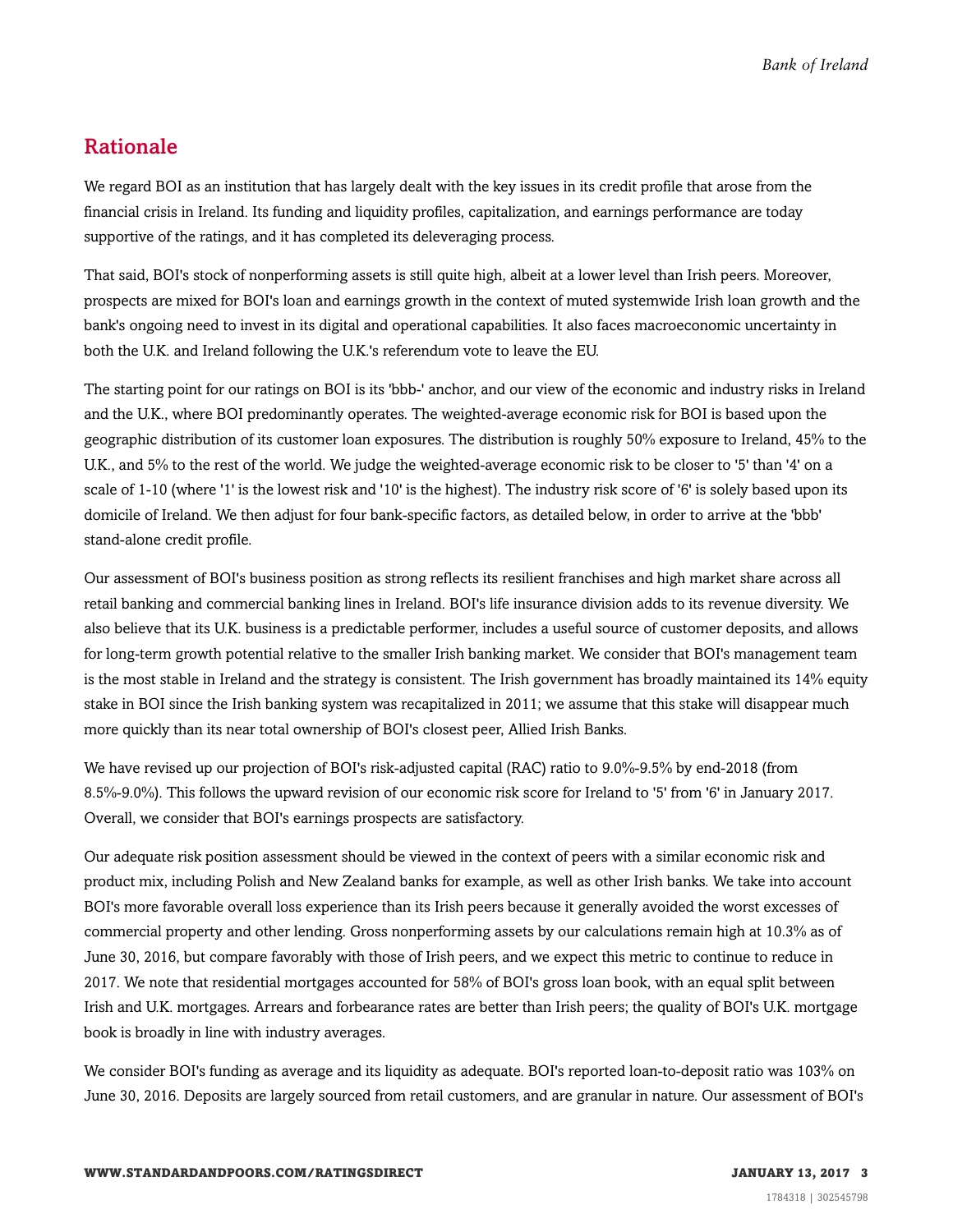### <span id="page-2-0"></span>Rationale

We regard BOI as an institution that has largely dealt with the key issues in its credit profile that arose from the financial crisis in Ireland. Its funding and liquidity profiles, capitalization, and earnings performance are today supportive of the ratings, and it has completed its deleveraging process.

That said, BOI's stock of nonperforming assets is still quite high, albeit at a lower level than Irish peers. Moreover, prospects are mixed for BOI's loan and earnings growth in the context of muted systemwide Irish loan growth and the bank's ongoing need to invest in its digital and operational capabilities. It also faces macroeconomic uncertainty in both the U.K. and Ireland following the U.K.'s referendum vote to leave the EU.

The starting point for our ratings on BOI is its 'bbb-' anchor, and our view of the economic and industry risks in Ireland and the U.K., where BOI predominantly operates. The weighted-average economic risk for BOI is based upon the geographic distribution of its customer loan exposures. The distribution is roughly 50% exposure to Ireland, 45% to the U.K., and 5% to the rest of the world. We judge the weighted-average economic risk to be closer to '5' than '4' on a scale of 1-10 (where '1' is the lowest risk and '10' is the highest). The industry risk score of '6' is solely based upon its domicile of Ireland. We then adjust for four bank-specific factors, as detailed below, in order to arrive at the 'bbb' stand-alone credit profile.

Our assessment of BOI's business position as strong reflects its resilient franchises and high market share across all retail banking and commercial banking lines in Ireland. BOI's life insurance division adds to its revenue diversity. We also believe that its U.K. business is a predictable performer, includes a useful source of customer deposits, and allows for long-term growth potential relative to the smaller Irish banking market. We consider that BOI's management team is the most stable in Ireland and the strategy is consistent. The Irish government has broadly maintained its 14% equity stake in BOI since the Irish banking system was recapitalized in 2011; we assume that this stake will disappear much more quickly than its near total ownership of BOI's closest peer, Allied Irish Banks.

We have revised up our projection of BOI's risk-adjusted capital (RAC) ratio to 9.0%-9.5% by end-2018 (from 8.5%-9.0%). This follows the upward revision of our economic risk score for Ireland to '5' from '6' in January 2017. Overall, we consider that BOI's earnings prospects are satisfactory.

Our adequate risk position assessment should be viewed in the context of peers with a similar economic risk and product mix, including Polish and New Zealand banks for example, as well as other Irish banks. We take into account BOI's more favorable overall loss experience than its Irish peers because it generally avoided the worst excesses of commercial property and other lending. Gross nonperforming assets by our calculations remain high at 10.3% as of June 30, 2016, but compare favorably with those of Irish peers, and we expect this metric to continue to reduce in 2017. We note that residential mortgages accounted for 58% of BOI's gross loan book, with an equal split between Irish and U.K. mortgages. Arrears and forbearance rates are better than Irish peers; the quality of BOI's U.K. mortgage book is broadly in line with industry averages.

We consider BOI's funding as average and its liquidity as adequate. BOI's reported loan-to-deposit ratio was 103% on June 30, 2016. Deposits are largely sourced from retail customers, and are granular in nature. Our assessment of BOI's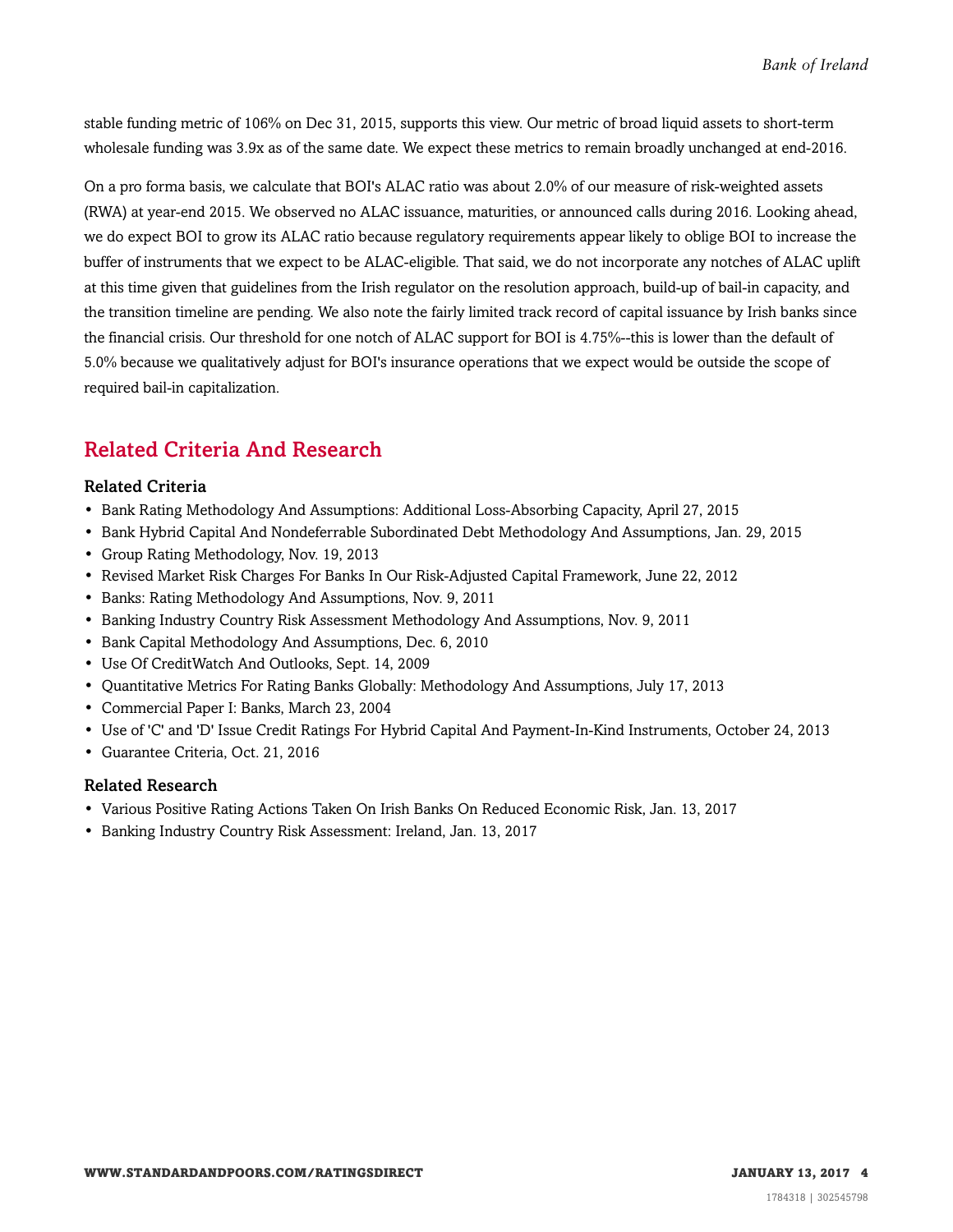stable funding metric of 106% on Dec 31, 2015, supports this view. Our metric of broad liquid assets to short-term wholesale funding was 3.9x as of the same date. We expect these metrics to remain broadly unchanged at end-2016.

On a pro forma basis, we calculate that BOI's ALAC ratio was about 2.0% of our measure of risk-weighted assets (RWA) at year-end 2015. We observed no ALAC issuance, maturities, or announced calls during 2016. Looking ahead, we do expect BOI to grow its ALAC ratio because regulatory requirements appear likely to oblige BOI to increase the buffer of instruments that we expect to be ALAC-eligible. That said, we do not incorporate any notches of ALAC uplift at this time given that guidelines from the Irish regulator on the resolution approach, build-up of bail-in capacity, and the transition timeline are pending. We also note the fairly limited track record of capital issuance by Irish banks since the financial crisis. Our threshold for one notch of ALAC support for BOI is 4.75%--this is lower than the default of 5.0% because we qualitatively adjust for BOI's insurance operations that we expect would be outside the scope of required bail-in capitalization.

## <span id="page-3-0"></span>Related Criteria And Research

### Related Criteria

- Bank Rating Methodology And Assumptions: Additional Loss-Absorbing Capacity, April 27, 2015
- Bank Hybrid Capital And Nondeferrable Subordinated Debt Methodology And Assumptions, Jan. 29, 2015
- Group Rating Methodology, Nov. 19, 2013
- Revised Market Risk Charges For Banks In Our Risk-Adjusted Capital Framework, June 22, 2012
- Banks: Rating Methodology And Assumptions, Nov. 9, 2011
- Banking Industry Country Risk Assessment Methodology And Assumptions, Nov. 9, 2011
- Bank Capital Methodology And Assumptions, Dec. 6, 2010
- Use Of CreditWatch And Outlooks, Sept. 14, 2009
- Quantitative Metrics For Rating Banks Globally: Methodology And Assumptions, July 17, 2013
- Commercial Paper I: Banks, March 23, 2004
- Use of 'C' and 'D' Issue Credit Ratings For Hybrid Capital And Payment-In-Kind Instruments, October 24, 2013
- Guarantee Criteria, Oct. 21, 2016

#### Related Research

- Various Positive Rating Actions Taken On Irish Banks On Reduced Economic Risk, Jan. 13, 2017
- Banking Industry Country Risk Assessment: Ireland, Jan. 13, 2017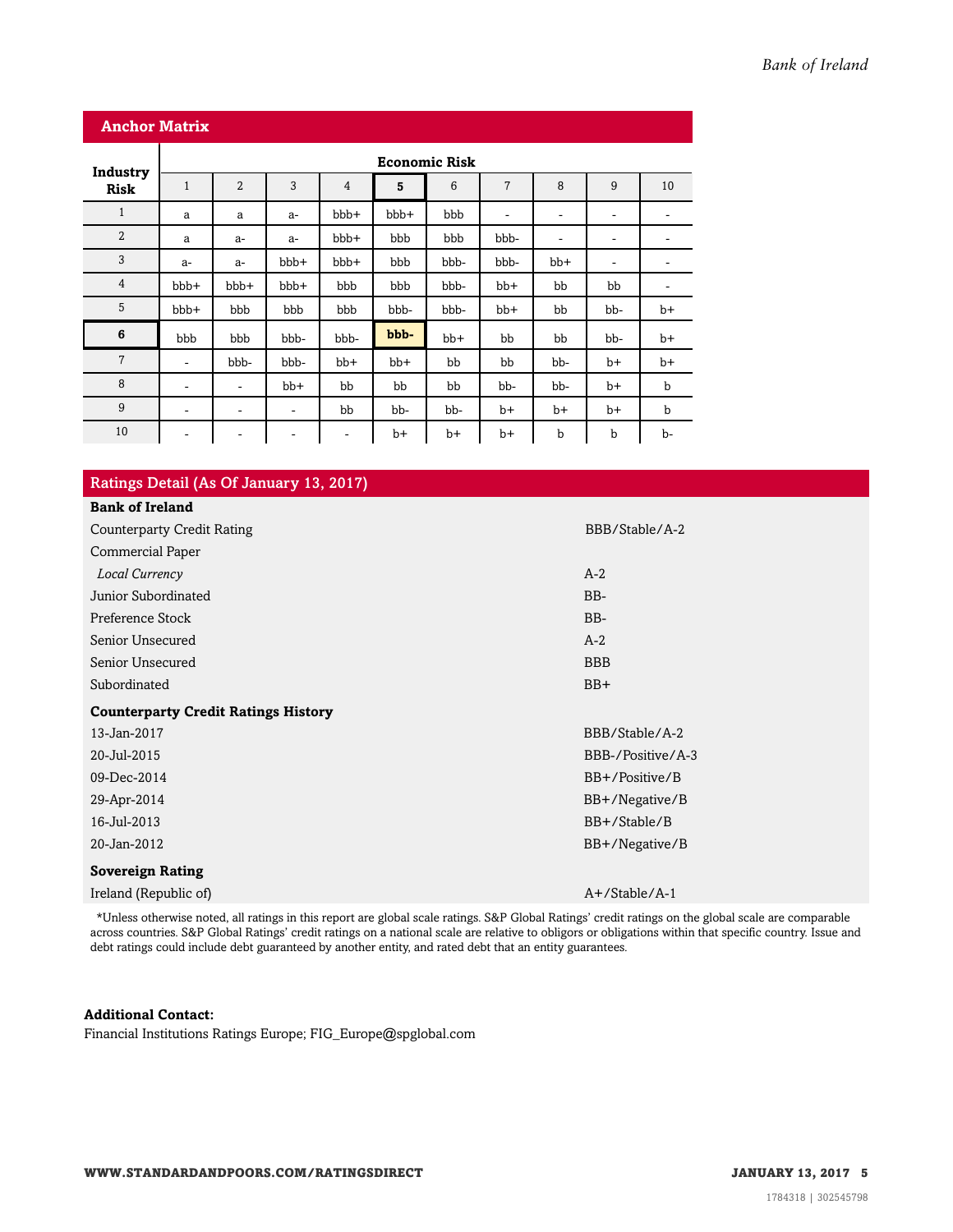| <b>Anchor Matrix</b> |                          |                |      |                          |       |      |                              |                          |                              |             |
|----------------------|--------------------------|----------------|------|--------------------------|-------|------|------------------------------|--------------------------|------------------------------|-------------|
| Industry             | <b>Economic Risk</b>     |                |      |                          |       |      |                              |                          |                              |             |
| <b>Risk</b>          | $\mathbf{1}$             | $\overline{2}$ | 3    | $\overline{4}$           | 5     | 6    | 7                            | 8                        | 9                            | 10          |
| $\mathbf{1}$         | a                        | a              | $a-$ | bbb+                     | bbb+  | bbb  | $\qquad \qquad \blacksquare$ | $\overline{\phantom{a}}$ | ٠                            | ۰           |
| $\overline{2}$       | a                        | a-             | a-   | bbb+                     | bbb   | bbb  | bbb-                         | $\overline{\phantom{a}}$ | $\overline{\phantom{a}}$     |             |
| 3                    | $a-$                     | $a-$           | bbb+ | bbb+                     | bbb   | bbb- | bbb-                         | bb+                      | $\qquad \qquad \blacksquare$ |             |
| $\overline{4}$       | bbb+                     | bbb+           | bbb+ | bbb                      | bbb   | bbb- | $bb+$                        | bb                       | bb                           | ۰           |
| 5                    | bbb+                     | bbb            | bbb  | bbb                      | bbb-  | bbb- | bb+                          | bb                       | bb-                          | $b+$        |
| 6                    | bbb                      | bbb            | bbb- | bbb-                     | bbb-  | bb+  | bb                           | bb                       | bb-                          | $b+$        |
| $\overline{7}$       | $\overline{\phantom{a}}$ | bbb-           | bbb- | $bb+$                    | $bb+$ | bb   | bb                           | bb-                      | $b+$                         | $b+$        |
| 8                    | -                        | ۰              | bb+  | bb                       | bb    | bb   | bb-                          | bb-                      | b+                           | b           |
| 9                    | ۰                        | ۰              | ۰    | bb                       | bb-   | bb-  | $b+$                         | $b+$                     | $b+$                         | $\mathbf b$ |
| 10                   | $\overline{\phantom{a}}$ | -              | ۰    | $\overline{\phantom{a}}$ | $b+$  | $b+$ | b+                           | b                        | b                            | b-          |

|  | Ratings Detail (As Of January 13, 2017) |
|--|-----------------------------------------|
|--|-----------------------------------------|

| <b>Bank of Ireland</b>                     |                   |
|--------------------------------------------|-------------------|
| <b>Counterparty Credit Rating</b>          | BBB/Stable/A-2    |
| Commercial Paper                           |                   |
| Local Currency                             | $A-2$             |
| Junior Subordinated                        | BB-               |
| Preference Stock                           | BB-               |
| Senior Unsecured                           | $A-2$             |
| Senior Unsecured                           | <b>BBB</b>        |
| Subordinated                               | $BB+$             |
| <b>Counterparty Credit Ratings History</b> |                   |
| 13-Jan-2017                                | BBB/Stable/A-2    |
| 20-Jul-2015                                | BBB-/Positive/A-3 |
| 09-Dec-2014                                | BB+/Positive/B    |
| 29-Apr-2014                                | BB+/Negative/B    |
| 16-Jul-2013                                | BB+/Stable/B      |
| 20-Jan-2012                                | BB+/Negative/B    |
| <b>Sovereign Rating</b>                    |                   |
| Ireland (Republic of)                      | $A+$ /Stable/A-1  |
|                                            |                   |

\*Unless otherwise noted, all ratings in this report are global scale ratings. S&P Global Ratings' credit ratings on the global scale are comparable across countries. S&P Global Ratings' credit ratings on a national scale are relative to obligors or obligations within that specific country. Issue and debt ratings could include debt guaranteed by another entity, and rated debt that an entity guarantees.

#### **Additional Contact:**

Financial Institutions Ratings Europe; FIG\_Europe@spglobal.com